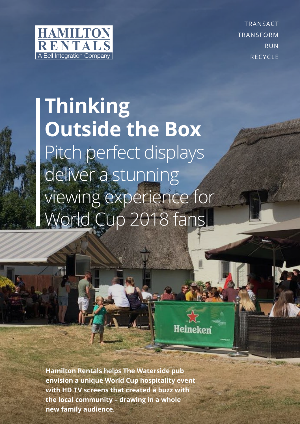

all

TRANSACT TRANSFORM RUN **RECYCLE** 

## **Thinking Outside the Box** Pitch perfect displays deliver a stunning viewing experience for World Cup 2018 fans

Heineken

**Hamilton Rentals helps The Waterside pub envision a unique World Cup hospitality event with HD TV screens that created a buzz with the local community – drawing in a whole new family audience.**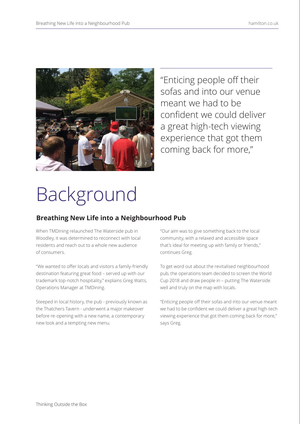

"Enticing people off their sofas and into our venue meant we had to be confident we could deliver a great high-tech viewing experience that got them coming back for more,"

# Background

## **Breathing New Life into a Neighbourhood Pub**

When TMDining relaunched The Waterside pub in Woodley, it was determined to reconnect with local residents and reach out to a whole new audience of consumers.

"We wanted to offer locals and visitors a family-friendly destination featuring great food – served up with our trademark top-notch hospitality," explains Greg Watts, Operations Manager at TMDining.

Steeped in local history, the pub - previously known as the Thatchers Tavern - underwent a major makeover before re-opening with a new name, a contemporary new look and a tempting new menu.

"Our aim was to give something back to the local community, with a relaxed and accessible space that's ideal for meeting up with family or friends," continues Greg.

To get word out about the revitalised neighbourhood pub, the operations team decided to screen the World Cup 2018 and draw people in – putting The Waterside well and truly on the map with locals.

"Enticing people off their sofas and into our venue meant we had to be confident we could deliver a great high-tech viewing experience that got them coming back for more," says Greg.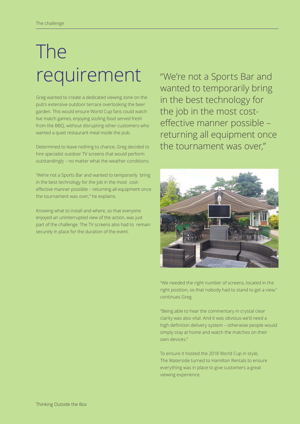# The requirement

Greg wanted to create a dedicated viewing zone on the pub's extensive outdoor terrace overlooking the beer garden. This would ensure World Cup fans could watch live match games, enjoying sizzling food served fresh from the BBQ, without disrupting other customers who wanted a quiet restaurant meal inside the pub.

Determined to leave nothing to chance, Greg decided to hire specialist outdoor TV screens that would perform outstandingly – no matter what the weather conditions.

"We're not a Sports Bar and wanted to temporarily bring in the best technology for the job in the most costeffective manner possible – returning all equipment once the tournament was over," he explains.

Knowing what to install and where, so that everyone enjoyed an uninterrupted view of the action, was just part of the challenge. The TV screens also had to remain securely in place for the duration of the event.

"We're not a Sports Bar and wanted to temporarily bring in the best technology for the job in the most costeffective manner possible – returning all equipment once the tournament was over,"



"We needed the right number of screens, located in the right position, so that nobody had to stand to get a view," continues Greg.

"Being able to hear the commentary in crystal clear clarity was also vital. And it was obvious we'd need a high definition delivery system – otherwise people would simply stay at home and watch the matches on their own devices."

To ensure it hosted the 2018 World Cup in style, The Waterside turned to Hamilton Rentals to ensure everything was in place to give customers a great viewing experience.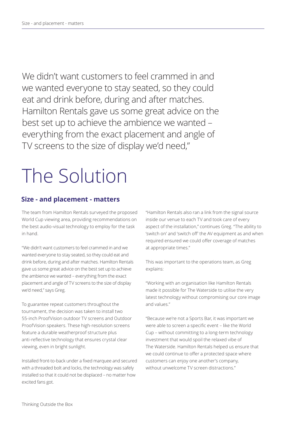We didn't want customers to feel crammed in and we wanted everyone to stay seated, so they could eat and drink before, during and after matches. Hamilton Rentals gave us some great advice on the best set up to achieve the ambience we wanted – everything from the exact placement and angle of TV screens to the size of display we'd need,"

## The Solution

## **Size - and placement - matters**

The team from Hamilton Rentals surveyed the proposed World Cup viewing area, providing recommendations on the best audio-visual technology to employ for the task in hand.

"We didn't want customers to feel crammed in and we wanted everyone to stay seated, so they could eat and drink before, during and after matches. Hamilton Rentals gave us some great advice on the best set up to achieve the ambience we wanted – everything from the exact placement and angle of TV screens to the size of display we'd need," says Greg.

To guarantee repeat customers throughout the tournament, the decision was taken to install two 55-inch ProofVision outdoor TV screens and Outdoor ProofVision speakers. These high-resolution screens feature a durable weatherproof structure plus anti-reflective technology that ensures crystal clear viewing, even in bright sunlight.

Installed front-to-back under a fixed marquee and secured with a threaded bolt and locks, the technology was safely installed so that it could not be displaced – no matter how excited fans got.

"Hamilton Rentals also ran a link from the signal source inside our venue to each TV and took care of every aspect of the installation," continues Greg. "The ability to 'switch on' and 'switch off' the AV equipment as and when required ensured we could offer coverage of matches at appropriate times."

This was important to the operations team, as Greg explains:

"Working with an organisation like Hamilton Rentals made it possible for The Waterside to utilise the very latest technology without compromising our core image and values."

"Because we're not a Sports Bar, it was important we were able to screen a specific event – like the World Cup – without committing to a long-term technology investment that would spoil the relaxed vibe of The Waterside. Hamilton Rentals helped us ensure that we could continue to offer a protected space where customers can enjoy one another's company, without unwelcome TV screen distractions."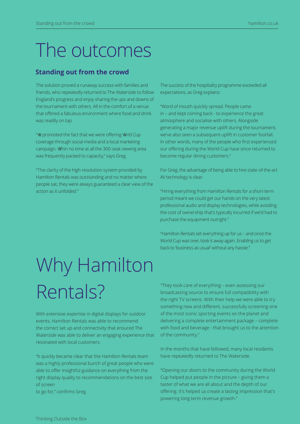## The outcomes

## **Standing out from the crowd**

The solution proved a runaway success with families and friends, who repeatedly returned to The Waterside to follow England's progress and enjoy sharing the ups and downs of the tournament with others. All in the comfort of a venue that offered a fabulous environment where food and drink was readily on tap.

"\@ promoted the fact that we were offering \\rld Cup coverage through social media and a local marketing campaign. Whin no time at all the 300-seat viewing area was frequently packed to capacity," says Greg.

"The clarity of the high-resolution system provided by Hamilton Rentals was outstanding and no matter where people sat, they were always guaranteed a clear view of the action as it unfolded."

The success of the hospitality programme exceeded all expectations, as Greg explains:

"Word of mouth quickly spread. People came in – and kept coming back - to experience the great atmosphere and socialise with others. Alongside generating a major revenue uplift during the tournament, we've also seen a subsequent uplift in customer footfall. In other words, many of the people who first experienced our offering during the World Cup have since returned to become regular dining customers."

For Greg, the advantage of being able to hire state-of-the-art AV technology is clear:

"Hiring everything from Hamilton Rentals for a short-term period meant we could get our hands on the very latest professional audio and display technologies, while avoiding the cost of ownership that's typically incurred if we'd had to purchase the equipment outright."

"Hamilton Rentals set everything up for us – and once the World Cup was over, took it away again. Enabling us to get back to 'business as usual' without any hassle."

# Why Hamilton Rentals?

With extensive expertise in digital displays for outdoor events, Hamilton Rentals was able to recommend the correct set up and connectivity that ensured The Waterside was able to deliver an engaging experience that resonated with local customers.

"It quickly became clear that the Hamilton Rentals team was a highly professional bunch of great people who were able to offer insightful guidance on everything from the right display quality to recommendations on the best size of screen

to go for," confirms Greg.

"They took care of everything – even assessing our broadcasting source to ensure full compatibility with the right TV screens. With their help we were able to try something new and different, successfully screening one of the most iconic sporting events on the planet and delivering a complete entertainment package – complete with food and beverage - that brought us to the attention of the community."

In the months that have followed, many local residents have repeatedly returned to The Waterside.

"Opening our doors to the community during the World Cup helped put people in the picture – giving them a taster of what we are all about and the depth of our offering. It's helped us create a lasting impression that's powering long term revenue growth."